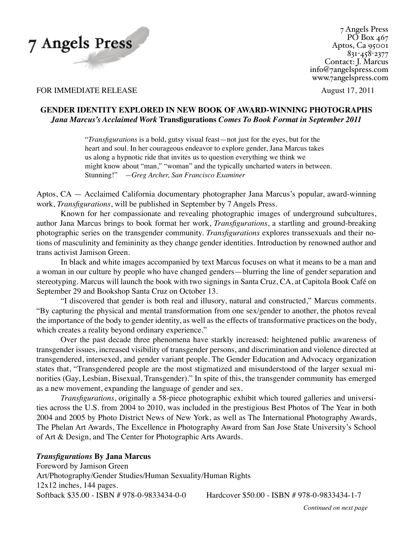

7 Angels Press  $P\overline{O}$  Box 467 Aptos, Ca 95001 831-458-2377 Contact: J. Marcus info@7angelspress.com www.7angelspress.com

FOR IMMEDIATE RELEASE August 17, 2011

# **Gender Identity explored in new book of Award-Winning Photographs** *Jana Marcus's Acclaimed Work* **Transfigurations** *Comes To Book Format in September 2011*

 "*Transfigurations* is a bold, gutsy visual feast—not just for the eyes, but for the heart and soul. In her courageous endeavor to explore gender, Jana Marcus takes us along a hypnotic ride that invites us to question everything we think we might know about "man," "woman" and the typically uncharted waters in between. Stunning!" *—Greg Archer, San Francisco Examiner*

Aptos, CA — Acclaimed California documentary photographer Jana Marcus's popular, award-winning work, *Transfigurations*, will be published in September by 7 Angels Press.

Known for her compassionate and revealing photographic images of underground subcultures, author Jana Marcus brings to book format her work, *Transfigurations*, a startling and ground-breaking photographic series on the transgender community. *Transfigurations* explores transsexuals and their notions of masculinity and femininity as they change gender identities. Introduction by renowned author and trans activist Jamison Green.

In black and white images accompanied by text Marcus focuses on what it means to be a man and a woman in our culture by people who have changed genders—blurring the line of gender separation and stereotyping. Marcus will launch the book with two signings in Santa Cruz, CA, at Capitola Book Café on September 29 and Bookshop Santa Cruz on October 13.

"I discovered that gender is both real and illusory, natural and constructed," Marcus comments. "By capturing the physical and mental transformation from one sex/gender to another, the photos reveal the importance of the body to gender identity, as well as the effects of transformative practices on the body, which creates a reality beyond ordinary experience."

Over the past decade three phenomena have starkly increased: heightened public awareness of transgender issues, increased visibility of transgender persons, and discrimination and violence directed at transgendered, intersexed, and gender variant people. The Gender Education and Advocacy organization states that, "Transgendered people are the most stigmatized and misunderstood of the larger sexual minorities (Gay, Lesbian, Bisexual, Transgender)." In spite of this, the transgender community has emerged as a new movement, expanding the language of gender and sex.

*Transfigurations*, originally a 58-piece photographic exhibit which toured galleries and universities across the U.S. from 2004 to 2010, was included in the prestigious Best Photos of The Year in both 2004 and 2005 by Photo District News of New York, as well as The International Photography Awards, The Phelan Art Awards, The Excellence in Photography Award from San Jose State University's School of Art & Design, and The Center for Photographic Arts Awards.

# *Transfigurations* **By Jana Marcus**

Foreword by Jamison Green Art/Photography/Gender Studies/Human Sexuality/Human Rights 12x12 inches, 144 pages. Softback \$35.00 - ISBN # 978-0-9833434-0-0 Hardcover \$50.00 - ISBN # 978-0-9833434-1-7